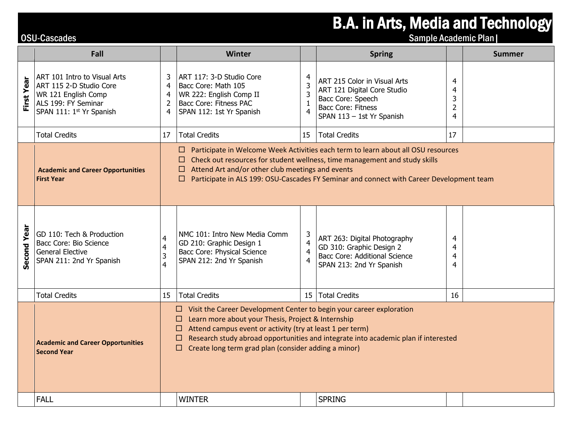## B.A. in Arts, Media and Technology<br>
Sample Academic Plan

|             | Fall                                                                                                                              |                                                                                                                                                                                                                                                                                                                                                                       | <b>Winter</b>                                                                                                                    |                                                            | <b>Spring</b>                                                                                                                       |                                                 | <b>Summer</b> |  |
|-------------|-----------------------------------------------------------------------------------------------------------------------------------|-----------------------------------------------------------------------------------------------------------------------------------------------------------------------------------------------------------------------------------------------------------------------------------------------------------------------------------------------------------------------|----------------------------------------------------------------------------------------------------------------------------------|------------------------------------------------------------|-------------------------------------------------------------------------------------------------------------------------------------|-------------------------------------------------|---------------|--|
| First Year  | ART 101 Intro to Visual Arts<br>ART 115 2-D Studio Core<br>WR 121 English Comp<br>ALS 199: FY Seminar<br>SPAN 111: 1st Yr Spanish | 3<br>$\overline{4}$<br>$\overline{4}$<br>$\overline{2}$<br>$\overline{4}$                                                                                                                                                                                                                                                                                             | ART 117: 3-D Studio Core<br>Bacc Core: Math 105<br>WR 222: English Comp II<br>Bacc Core: Fitness PAC<br>SPAN 112: 1st Yr Spanish | $\overline{4}$<br>3<br>3<br>$\mathbf{1}$<br>$\overline{4}$ | ART 215 Color in Visual Arts<br>ART 121 Digital Core Studio<br>Bacc Core: Speech<br>Bacc Core: Fitness<br>SPAN 113 - 1st Yr Spanish | 4<br>4<br>3<br>$\overline{2}$<br>$\overline{4}$ |               |  |
|             | <b>Total Credits</b>                                                                                                              | 17                                                                                                                                                                                                                                                                                                                                                                    | <b>Total Credits</b>                                                                                                             | 15                                                         | <b>Total Credits</b>                                                                                                                | 17                                              |               |  |
|             | <b>Academic and Career Opportunities</b><br><b>First Year</b>                                                                     | $\Box$ Participate in Welcome Week Activities each term to learn about all OSU resources<br>Check out resources for student wellness, time management and study skills<br>ш<br>Attend Art and/or other club meetings and events<br>ш<br>Participate in ALS 199: OSU-Cascades FY Seminar and connect with Career Development team<br>П                                 |                                                                                                                                  |                                                            |                                                                                                                                     |                                                 |               |  |
| Second Year | GD 110: Tech & Production<br>Bacc Core: Bio Science<br><b>General Elective</b><br>SPAN 211: 2nd Yr Spanish                        | $\overline{4}$<br>$\overline{4}$<br>3<br>4                                                                                                                                                                                                                                                                                                                            | NMC 101: Intro New Media Comm<br>GD 210: Graphic Design 1<br>Bacc Core: Physical Science<br>SPAN 212: 2nd Yr Spanish             | 3<br>$\overline{4}$<br>$\overline{4}$<br>$\overline{4}$    | ART 263: Digital Photography<br>GD 310: Graphic Design 2<br><b>Bacc Core: Additional Science</b><br>SPAN 213: 2nd Yr Spanish        | 4<br>4<br>4<br>4                                |               |  |
|             | <b>Total Credits</b>                                                                                                              | 15                                                                                                                                                                                                                                                                                                                                                                    | Total Credits                                                                                                                    |                                                            | 15 Total Credits                                                                                                                    | 16                                              |               |  |
|             | <b>Academic and Career Opportunities</b><br><b>Second Year</b>                                                                    | $\Box$ Visit the Career Development Center to begin your career exploration<br>$\Box$ Learn more about your Thesis, Project & Internship<br>Attend campus event or activity (try at least 1 per term)<br>u.<br>Research study abroad opportunities and integrate into academic plan if interested<br>ш<br>$\Box$ Create long term grad plan (consider adding a minor) |                                                                                                                                  |                                                            |                                                                                                                                     |                                                 |               |  |
|             | <b>FALL</b>                                                                                                                       |                                                                                                                                                                                                                                                                                                                                                                       | <b>WINTER</b>                                                                                                                    |                                                            | <b>SPRING</b>                                                                                                                       |                                                 |               |  |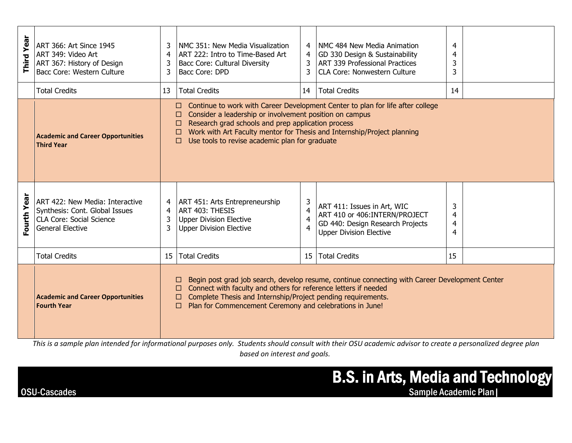| Year<br>Third  | ART 366: Art Since 1945<br>ART 349: Video Art<br>ART 367: History of Design<br>Bacc Core: Western Culture                       | 3<br>4<br>3<br>3                                                                                                                                                                                                                                                                                        | NMC 351: New Media Visualization<br>ART 222: Intro to Time-Based Art<br><b>Bacc Core: Cultural Diversity</b><br>Bacc Core: DPD                                                                                                                                                                                                                | 4<br>4<br>3                                             | NMC 484 New Media Animation<br>GD 330 Design & Sustainability<br><b>ART 339 Professional Practices</b><br><b>CLA Core: Nonwestern Culture</b> | $\overline{4}$<br>4<br>3<br>$\overline{3}$ |  |  |  |
|----------------|---------------------------------------------------------------------------------------------------------------------------------|---------------------------------------------------------------------------------------------------------------------------------------------------------------------------------------------------------------------------------------------------------------------------------------------------------|-----------------------------------------------------------------------------------------------------------------------------------------------------------------------------------------------------------------------------------------------------------------------------------------------------------------------------------------------|---------------------------------------------------------|-----------------------------------------------------------------------------------------------------------------------------------------------|--------------------------------------------|--|--|--|
|                | <b>Total Credits</b>                                                                                                            | 13                                                                                                                                                                                                                                                                                                      | <b>Total Credits</b>                                                                                                                                                                                                                                                                                                                          | 14                                                      | <b>Total Credits</b>                                                                                                                          | 14                                         |  |  |  |
|                | <b>Academic and Career Opportunities</b><br><b>Third Year</b>                                                                   |                                                                                                                                                                                                                                                                                                         | $\Box$ Continue to work with Career Development Center to plan for life after college<br>Consider a leadership or involvement position on campus<br>П<br>Research grad schools and prep application process<br>П<br>Work with Art Faculty mentor for Thesis and Internship/Project planning<br>Use tools to revise academic plan for graduate |                                                         |                                                                                                                                               |                                            |  |  |  |
| Year<br>Fourth | ART 422: New Media: Interactive<br>Synthesis: Cont. Global Issues<br><b>CLA Core: Social Science</b><br><b>General Elective</b> | $\overline{4}$<br>3<br>3                                                                                                                                                                                                                                                                                | ART 451: Arts Entrepreneurship<br>ART 403: THESIS<br><b>Upper Division Elective</b><br><b>Upper Division Elective</b>                                                                                                                                                                                                                         | 3<br>$\overline{4}$<br>$\overline{4}$<br>$\overline{4}$ | ART 411: Issues in Art, WIC<br>ART 410 or 406:INTERN/PROJECT<br>GD 440: Design Research Projects<br><b>Upper Division Elective</b>            | 3<br>$\overline{4}$<br>4<br>4              |  |  |  |
|                | <b>Total Credits</b>                                                                                                            | 15                                                                                                                                                                                                                                                                                                      | <b>Total Credits</b>                                                                                                                                                                                                                                                                                                                          | 15 <sup>1</sup>                                         | <b>Total Credits</b>                                                                                                                          | 15                                         |  |  |  |
|                | <b>Academic and Career Opportunities</b><br><b>Fourth Year</b>                                                                  | Begin post grad job search, develop resume, continue connecting with Career Development Center<br>Connect with faculty and others for reference letters if needed<br>Complete Thesis and Internship/Project pending requirements.<br>Plan for Commencement Ceremony and celebrations in June!<br>$\Box$ |                                                                                                                                                                                                                                                                                                                                               |                                                         |                                                                                                                                               |                                            |  |  |  |

*This is a sample plan intended for informational purposes only. Students should consult with their OSU academic advisor to create a personalized degree plan based on interest and goals.*

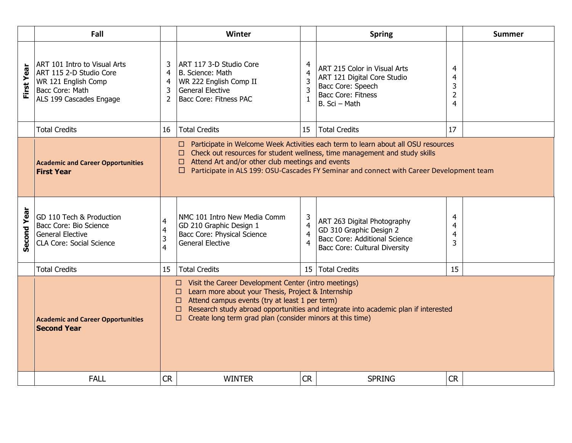|            | Fall                                                                                                                         |                                                                                                                                                                                                                                                                                                                                     | Winter                                                                                                                                                                                                                                                                                                                       |                                                            | <b>Spring</b>                                                                                                                   |                                    | <b>Summer</b> |  |  |
|------------|------------------------------------------------------------------------------------------------------------------------------|-------------------------------------------------------------------------------------------------------------------------------------------------------------------------------------------------------------------------------------------------------------------------------------------------------------------------------------|------------------------------------------------------------------------------------------------------------------------------------------------------------------------------------------------------------------------------------------------------------------------------------------------------------------------------|------------------------------------------------------------|---------------------------------------------------------------------------------------------------------------------------------|------------------------------------|---------------|--|--|
| First Year | ART 101 Intro to Visual Arts<br>ART 115 2-D Studio Core<br>WR 121 English Comp<br>Bacc Core: Math<br>ALS 199 Cascades Engage | 3<br>4<br>4<br>3<br>$\overline{2}$                                                                                                                                                                                                                                                                                                  | ART 117 3-D Studio Core<br>B. Science: Math<br>WR 222 English Comp II<br><b>General Elective</b><br><b>Bacc Core: Fitness PAC</b>                                                                                                                                                                                            | 4<br>$\overline{4}$<br>$\overline{3}$<br>3<br>$\mathbf{1}$ | ART 215 Color in Visual Arts<br>ART 121 Digital Core Studio<br>Bacc Core: Speech<br><b>Bacc Core: Fitness</b><br>B. Sci - Math  | 4<br>4<br>3<br>$\overline{2}$<br>4 |               |  |  |
|            | <b>Total Credits</b>                                                                                                         | 16                                                                                                                                                                                                                                                                                                                                  | <b>Total Credits</b>                                                                                                                                                                                                                                                                                                         | 15                                                         | <b>Total Credits</b>                                                                                                            | 17                                 |               |  |  |
|            | <b>Academic and Career Opportunities</b><br><b>First Year</b>                                                                |                                                                                                                                                                                                                                                                                                                                     | □ Participate in Welcome Week Activities each term to learn about all OSU resources<br>□ Check out resources for student wellness, time management and study skills<br>$\Box$ Attend Art and/or other club meetings and events<br>□ Participate in ALS 199: OSU-Cascades FY Seminar and connect with Career Development team |                                                            |                                                                                                                                 |                                    |               |  |  |
| econd Year | GD 110 Tech & Production<br>Bacc Core: Bio Science<br><b>General Elective</b><br>CLA Core: Social Science                    | 4<br>4<br>3<br>4                                                                                                                                                                                                                                                                                                                    | NMC 101 Intro New Media Comm<br>GD 210 Graphic Design 1<br>Bacc Core: Physical Science<br><b>General Elective</b>                                                                                                                                                                                                            | 3<br>$\overline{4}$<br>$\overline{4}$<br>$\overline{4}$    | ART 263 Digital Photography<br>GD 310 Graphic Design 2<br><b>Bacc Core: Additional Science</b><br>Bacc Core: Cultural Diversity | 4<br>4<br>4<br>3                   |               |  |  |
|            | <b>Total Credits</b>                                                                                                         | 15                                                                                                                                                                                                                                                                                                                                  | <b>Total Credits</b>                                                                                                                                                                                                                                                                                                         |                                                            | 15   Total Credits                                                                                                              | 15                                 |               |  |  |
|            | <b>Academic and Career Opportunities</b><br><b>Second Year</b>                                                               | Visit the Career Development Center (intro meetings)<br>□<br>Learn more about your Thesis, Project & Internship<br>□<br>Attend campus events (try at least 1 per term)<br>□<br>Research study abroad opportunities and integrate into academic plan if interested<br>□<br>Create long term grad plan (consider minors at this time) |                                                                                                                                                                                                                                                                                                                              |                                                            |                                                                                                                                 |                                    |               |  |  |
|            | <b>FALL</b>                                                                                                                  | <b>CR</b>                                                                                                                                                                                                                                                                                                                           | <b>WINTER</b>                                                                                                                                                                                                                                                                                                                | <b>CR</b>                                                  | <b>SPRING</b>                                                                                                                   | <b>CR</b>                          |               |  |  |